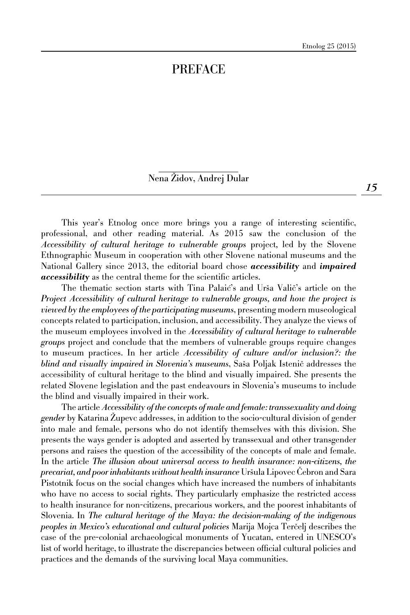## PREFACE

Nena Židov, Andrej Dular

This year's Etnolog once more brings you a range of interesting scientific, professional, and other reading material. As 2015 saw the conclusion of the *Accessibility of cultural heritage to vulnerable groups* project*,* led by the Slovene Ethnographic Museum in cooperation with other Slovene national museums and the National Gallery since 2013, the editorial board chose *accessibility* and *impaired accessibility* as the central theme for the scientific articles.

The thematic section starts with Tina Palaić's and Urša Valič's article on the *Project Accessibility of cultural heritage to vulnerable groups, and how the project is viewed by the employees of the participating museums*, presenting modern museological concepts related to participation, inclusion, and accessibility. They analyze the views of the museum employees involved in the *Accessibility of cultural heritage to vulnerable groups* project and conclude that the members of vulnerable groups require changes to museum practices. In her article *Accessibility of culture and/or inclusion?: the blind and visually impaired in Slovenia's museums*, Saša Poljak Istenič addresses the accessibility of cultural heritage to the blind and visually impaired. She presents the related Slovene legislation and the past endeavours in Slovenia's museums to include the blind and visually impaired in their work.

The article *Accessibility of the concepts of male and female: transsexuality and doing gender* by Katarina Zupevc addresses, in addition to the socio-cultural division of gender into male and female, persons who do not identify themselves with this division. She presents the ways gender is adopted and asserted by transsexual and other transgender persons and raises the question of the accessibility of the concepts of male and female. In the article *The illusion about universal access to health insurance: non-citizens, the precariat, and poor inhabitants without health insurance* Uršula Lipovec Cebron and Sara Pistotnik focus on the social changes which have increased the numbers of inhabitants who have no access to social rights. They particularly emphasize the restricted access to health insurance for non-citizens, precarious workers, and the poorest inhabitants of Slovenia. In *The cultural heritage of the Maya: the decision-making of the indigenous peoples in Mexico's educational and cultural policies* Marija Mojca Terčelj describes the case of the pre-colonial archaeological monuments of Yucatan, entered in UNESCO's list of world heritage, to illustrate the discrepancies between official cultural policies and practices and the demands of the surviving local Maya communities.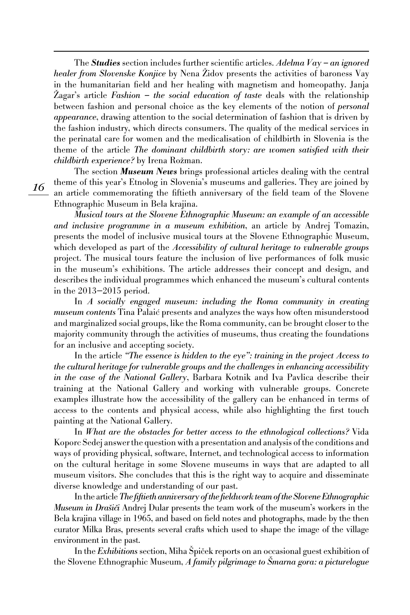The *Studies* section includes further scientific articles. *Adelma Vay – an ignored healer from Slovenske Konjice* by Nena Židov presents the activities of baroness Vay in the humanitarian field and her healing with magnetism and homeopathy. Janja Zagar's article *Fashion – the social education of taste* deals with the relationship between fashion and personal choice as the key elements of the notion of *personal appearance*, drawing attention to the social determination of fashion that is driven by the fashion industry, which directs consumers. The quality of the medical services in the perinatal care for women and the medicalisation of childbirth in Slovenia is the theme of the article *The dominant childbirth story: are women satisfied with their childbirth experience?* by Irena Rožman.

The section *Museum News* brings professional articles dealing with the central theme of this year's Etnolog in Slovenia's museums and galleries. They are joined by an article commemorating the fiftieth anniversary of the field team of the Slovene Ethnographic Museum in Bela krajina.

*Musical tours at the Slovene Ethnographic Museum: an example of an accessible and inclusive programme in a museum exhibition*, an article by Andrej Tomazin, presents the model of inclusive musical tours at the Slovene Ethnographic Museum, which developed as part of the *Accessibility of cultural heritage to vulnerable groups* project. The musical tours feature the inclusion of live performances of folk music in the museum's exhibitions. The article addresses their concept and design, and describes the individual programmes which enhanced the museum's cultural contents in the 2013—2015 period.

In *A* socially engaged museum: including the Roma community in creating *museum contents* Tina Palaić presents and analyzes the ways how often misunderstood and marginalized social groups, like the Roma community, can be brought closer to the majority community through the activities of museums, thus creating the foundations for an inclusive and accepting society.

In the article *"The essence is hidden to the eye": training in the project Access to the cultural heritage for vulnerable groups and the challenges in enhancing accessibility in the case of the National Gallery*, Barbara Kotnik and Iva Pavlica describe their training at the National Gallery and working with vulnerable groups. Concrete examples illustrate how the accessibility of the gallery can be enhanced in terms of access to the contents and physical access, while also highlighting the first touch painting at the National Gallery.

In *What are the obstacles for better access to the ethnological collections?* Vida Koporc Sedej answer the question with a presentation and analysis of the conditions and ways of providing physical, software, Internet, and technological access to information on the cultural heritage in some Slovene museums in ways that are adapted to all museum visitors. She concludes that this is the right way to acquire and disseminate diverse knowledge and understanding of our past.

In the article *The fiftieth anniversary of the fieldwork team of the Slovene Ethnographic Museum in Drašiči* Andrej Dular presents the team work of the museum's workers in the Bela krajina village in 1965, and based on field notes and photographs, made by the then curator Milka Bras, presents several crafts which used to shape the image of the village environment in the past.

In the *Exhibitions* section, Miha Spiček reports on an occasional guest exhibition of the Slovene Ethnographic Museum, *A family pilgrimage to Smarna gora: a picturelogue* 

*16*